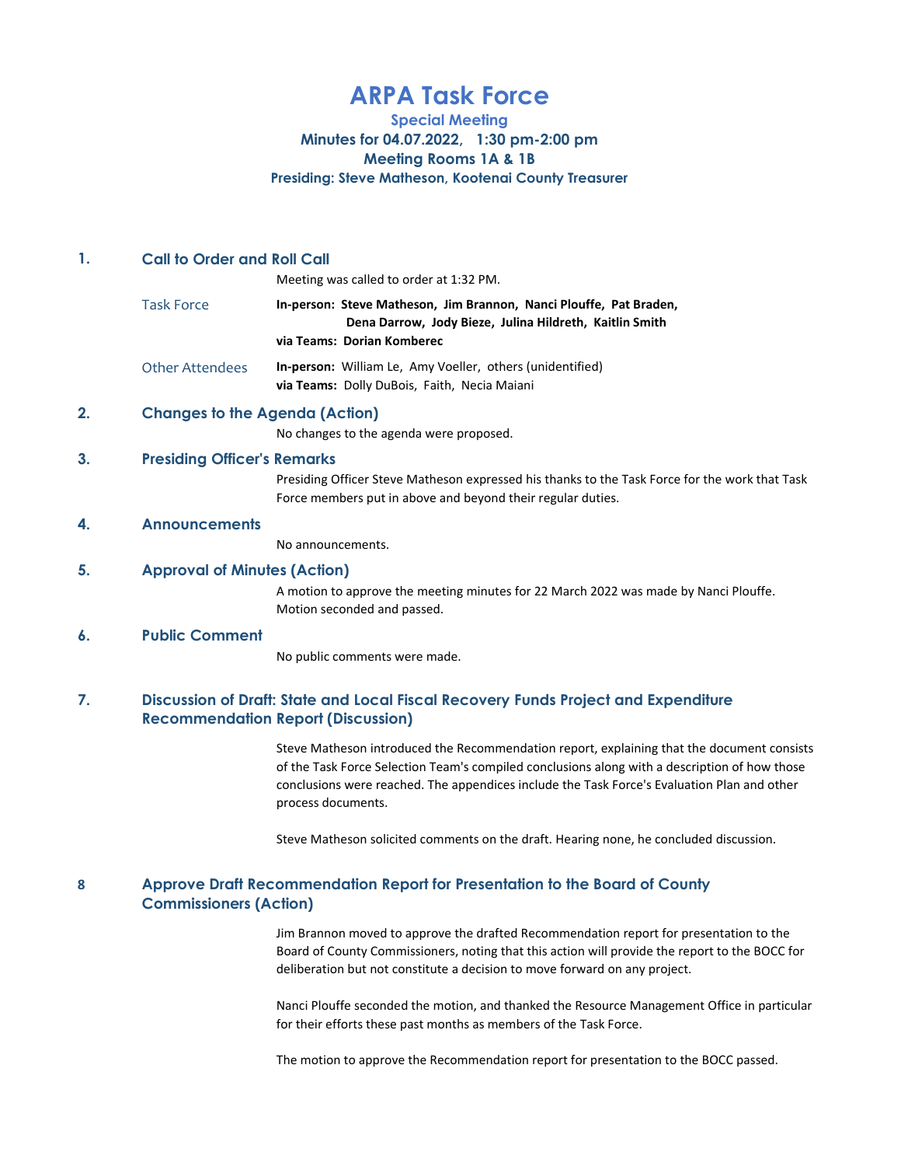# ARPA Task Force

Special Meeting

Minutes for 04.07.2022, 1:30 pm-2:00 pm

Meeting Rooms 1A & 1B

Presiding: Steve Matheson, Kootenai County Treasurer

# 1. Call to Order and Roll Call

Meeting was called to order at 1:32 PM.

Task Force **In-person: Steve Matheson, Jim Brannon, Nanci Plouffe, Pat Braden,**  Dena Darrow, Jody Bieze, Julina Hildreth, Kaitlin Smith via Teams: Dorian Komberec

Other Attendees **In-person:** William Le, Amy Voeller, others (unidentified) via Teams: Dolly DuBois, Faith, Necia Maiani

# 2. Changes to the Agenda (Action)

No changes to the agenda were proposed.

# 3. Presiding Officer's Remarks

Presiding Officer Steve Matheson expressed his thanks to the Task Force for the work that Task Force members put in above and beyond their regular duties.

### 4. Announcements

No announcements.

# 5. Approval of Minutes (Action)

A motion to approve the meeting minutes for 22 March 2022 was made by Nanci Plouffe. Motion seconded and passed.

## 6. Public Comment

No public comments were made.

#### 7. Discussion of Draft: State and Local Fiscal Recovery Funds Project and Expenditure Recommendation Report (Discussion)

Steve Matheson introduced the Recommendation report, explaining that the document consists of the Task Force Selection Team's compiled conclusions along with a description of how those conclusions were reached. The appendices include the Task Force's Evaluation Plan and other process documents.

Steve Matheson solicited comments on the draft. Hearing none, he concluded discussion.

#### 8 Approve Draft Recommendation Report for Presentation to the Board of County Commissioners (Action)

Jim Brannon moved to approve the drafted Recommendation report for presentation to the Board of County Commissioners, noting that this action will provide the report to the BOCC for deliberation but not constitute a decision to move forward on any project.

Nanci Plouffe seconded the motion, and thanked the Resource Management Office in particular for their efforts these past months as members of the Task Force.

The motion to approve the Recommendation report for presentation to the BOCC passed.